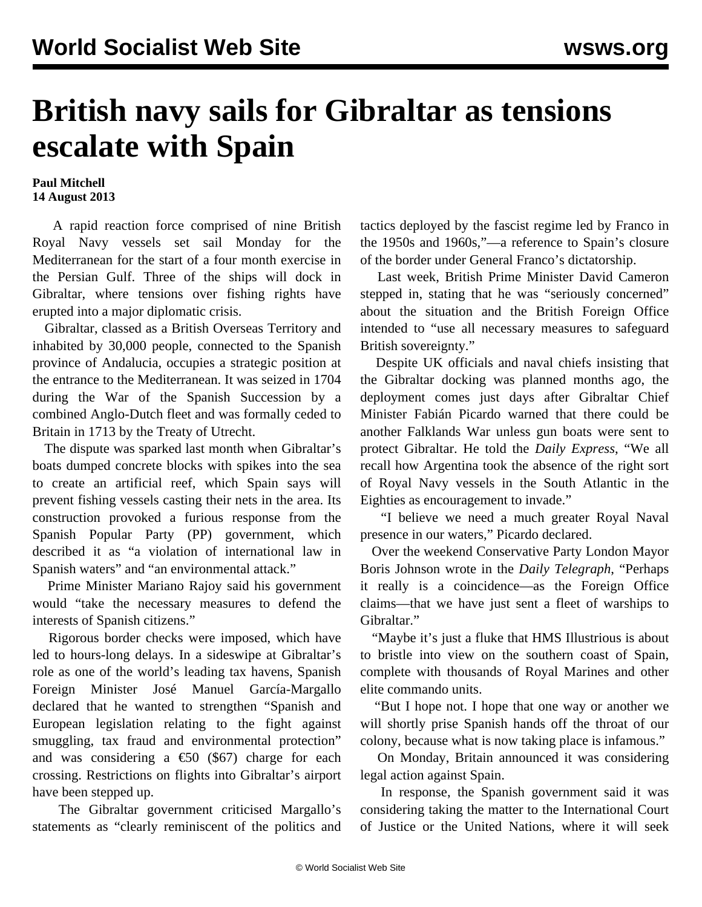## **British navy sails for Gibraltar as tensions escalate with Spain**

## **Paul Mitchell 14 August 2013**

 A rapid reaction force comprised of nine British Royal Navy vessels set sail Monday for the Mediterranean for the start of a four month exercise in the Persian Gulf. Three of the ships will dock in Gibraltar, where tensions over fishing rights have erupted into a major diplomatic crisis.

 Gibraltar, classed as a British Overseas Territory and inhabited by 30,000 people, connected to the Spanish province of Andalucia, occupies a strategic position at the entrance to the Mediterranean. It was seized in 1704 during the War of the Spanish Succession by a combined Anglo-Dutch fleet and was formally ceded to Britain in 1713 by the Treaty of Utrecht.

 The dispute was sparked last month when Gibraltar's boats dumped concrete blocks with spikes into the sea to create an artificial reef, which Spain says will prevent fishing vessels casting their nets in the area. Its construction provoked a furious response from the Spanish Popular Party (PP) government, which described it as "a violation of international law in Spanish waters" and "an environmental attack."

 Prime Minister Mariano Rajoy said his government would "take the necessary measures to defend the interests of Spanish citizens."

 Rigorous border checks were imposed, which have led to hours-long delays. In a sideswipe at Gibraltar's role as one of the world's leading tax havens, Spanish Foreign Minister José Manuel García-Margallo declared that he wanted to strengthen "Spanish and European legislation relating to the fight against smuggling, tax fraud and environmental protection" and was considering a  $\epsilon$ 50 (\$67) charge for each crossing. Restrictions on flights into Gibraltar's airport have been stepped up.

 The Gibraltar government criticised Margallo's statements as "clearly reminiscent of the politics and tactics deployed by the fascist regime led by Franco in the 1950s and 1960s,"—a reference to Spain's closure of the border under General Franco's dictatorship.

 Last week, British Prime Minister David Cameron stepped in, stating that he was "seriously concerned" about the situation and the British Foreign Office intended to "use all necessary measures to safeguard British sovereignty."

 Despite UK officials and naval chiefs insisting that the Gibraltar docking was planned months ago, the deployment comes just days after Gibraltar Chief Minister Fabián Picardo warned that there could be another Falklands War unless gun boats were sent to protect Gibraltar. He told the *Daily Express*, "We all recall how Argentina took the absence of the right sort of Royal Navy vessels in the South Atlantic in the Eighties as encouragement to invade."

 "I believe we need a much greater Royal Naval presence in our waters," Picardo declared.

 Over the weekend Conservative Party London Mayor Boris Johnson wrote in the *Daily Telegraph*, "Perhaps it really is a coincidence—as the Foreign Office claims—that we have just sent a fleet of warships to Gibraltar."

 "Maybe it's just a fluke that HMS Illustrious is about to bristle into view on the southern coast of Spain, complete with thousands of Royal Marines and other elite commando units.

 "But I hope not. I hope that one way or another we will shortly prise Spanish hands off the throat of our colony, because what is now taking place is infamous."

 On Monday, Britain announced it was considering legal action against Spain.

 In response, the Spanish government said it was considering taking the matter to the International Court of Justice or the United Nations, where it will seek